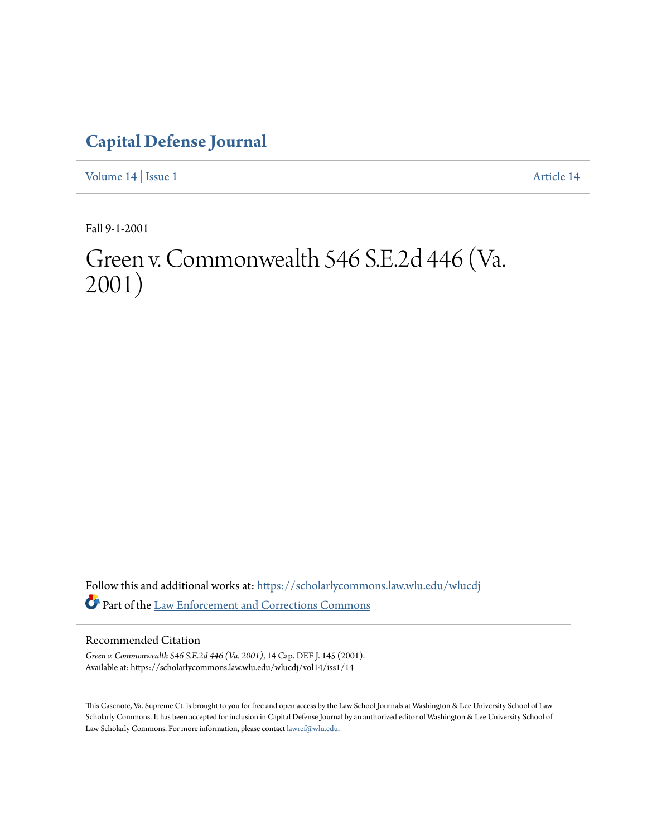## **[Capital Defense Journal](https://scholarlycommons.law.wlu.edu/wlucdj?utm_source=scholarlycommons.law.wlu.edu%2Fwlucdj%2Fvol14%2Fiss1%2F14&utm_medium=PDF&utm_campaign=PDFCoverPages)**

[Volume 14](https://scholarlycommons.law.wlu.edu/wlucdj/vol14?utm_source=scholarlycommons.law.wlu.edu%2Fwlucdj%2Fvol14%2Fiss1%2F14&utm_medium=PDF&utm_campaign=PDFCoverPages) | [Issue 1](https://scholarlycommons.law.wlu.edu/wlucdj/vol14/iss1?utm_source=scholarlycommons.law.wlu.edu%2Fwlucdj%2Fvol14%2Fiss1%2F14&utm_medium=PDF&utm_campaign=PDFCoverPages) [Article 14](https://scholarlycommons.law.wlu.edu/wlucdj/vol14/iss1/14?utm_source=scholarlycommons.law.wlu.edu%2Fwlucdj%2Fvol14%2Fiss1%2F14&utm_medium=PDF&utm_campaign=PDFCoverPages)

Fall 9-1-2001

# Green v. Commonwealth 546 S.E.2d 446 (Va. 2001)

Follow this and additional works at: [https://scholarlycommons.law.wlu.edu/wlucdj](https://scholarlycommons.law.wlu.edu/wlucdj?utm_source=scholarlycommons.law.wlu.edu%2Fwlucdj%2Fvol14%2Fiss1%2F14&utm_medium=PDF&utm_campaign=PDFCoverPages) Part of the [Law Enforcement and Corrections Commons](http://network.bepress.com/hgg/discipline/854?utm_source=scholarlycommons.law.wlu.edu%2Fwlucdj%2Fvol14%2Fiss1%2F14&utm_medium=PDF&utm_campaign=PDFCoverPages)

#### Recommended Citation

*Green v. Commonwealth 546 S.E.2d 446 (Va. 2001)*, 14 Cap. DEF J. 145 (2001). Available at: https://scholarlycommons.law.wlu.edu/wlucdj/vol14/iss1/14

This Casenote, Va. Supreme Ct. is brought to you for free and open access by the Law School Journals at Washington & Lee University School of Law Scholarly Commons. It has been accepted for inclusion in Capital Defense Journal by an authorized editor of Washington & Lee University School of Law Scholarly Commons. For more information, please contact [lawref@wlu.edu.](mailto:lawref@wlu.edu)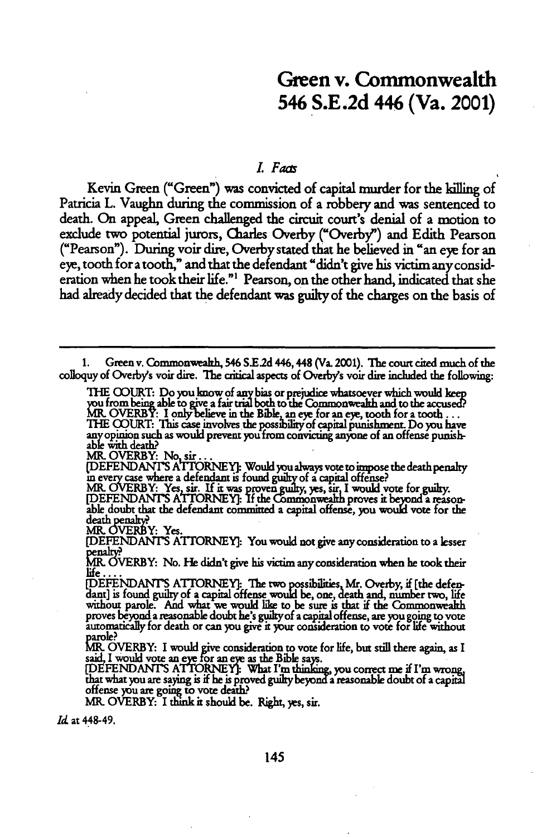### **Green** v. Commonwealth 546 **S.E.2d** 446 (Va. 2001)

#### *. Faas*

Kevin Green ("Green") was convicted of capital murder for the killing of Patricia L. Vaughn during the commission of a robbery and was sentenced to death. On appeal, Green challenged the circuit court's denial of a motion to exclude two potential jurors, Charles Overby ("Overby') and Edith Pearson ("Pearson"). During voir dire, Overby stated that he believed in "an eye for an eye, tooth for a tooth," and that the defendant "didn't give his victim any consideration when he took their life."' Pearson, on the other hand, indicated that she had already decided that the defendant was guilty of the charges on the basis of

**1.** Green v. Commonwealh, 546 **S.E2d** 446,448 (Va. 2001). The court cited much of the colloquy of Overby's voir **dire.** The critical aspects of Overby's voir **dire** included the following:

THE COURT: Do you know of any bias or prejudice whatsoever which would keep u from being able to give a fair trial both to the Commonwealth and to the accused MROVERBY: I onlyielieve in the Bible an eye for an **eye,** tooth for **a** tooth... THE COURT: This case involves the possibility of capital punishment. Do you have any opinion such as would prevent you from convicting anyone of an offense punish-<br>able with death?<br>MR. OVERBY: No, sir...

(DEFENDANT'S ATTORNEY]: Would you always vote to impose the death penalty<br>in every case where a defendant is found guilty of a capital offense?<br>MR. OVERBY: Yes, sir. If it was proven guilty, yes, sir, I would vote for guil

**IDEFENDANTS ATTORNEY:** If the Commonwealth proves it beyond a reason-<br>able doubt that the defendant committed a capital offense, you would vote for the death penalty?<br>MR. OVERBY: Yes.

[DEFENDANI'S ATTORNEY]: You would not give any consideration to a lesser

penalty?<br>MR. OVERBY: No. He didn't give his victim any consideration when he took their life **....**

[DEFENDANT'S ATTORNEY]: The two possibilities, Mr. Overby, if [the defendant] is found guilty of a capital offense would be, one, death and, number two, life<br>without parole. And what we would like to be sure is that if the Commonwealth proves beyond a reasonable doubt he's **guiltyof** a capital offense, are yqu **going to vote** automatcally for death or can you give **it** your consideration to vote for **life** without

MR. OVERBY: I would give consideration to vote for life, but still there again, as I<br>said, I would vote an eye for an eye as the Bible says.<br>[DEFENDANT'S ATTORNEY]: What I'm thinking, you correct me if I'm wrong.

that what you are saying is if he is proved guily beyonda reasonable doubt of a capiti offense you are **goig** to vote deth?

MR- OVERBY: **It** it should be. Right, yes, sir.

Id at 448-49.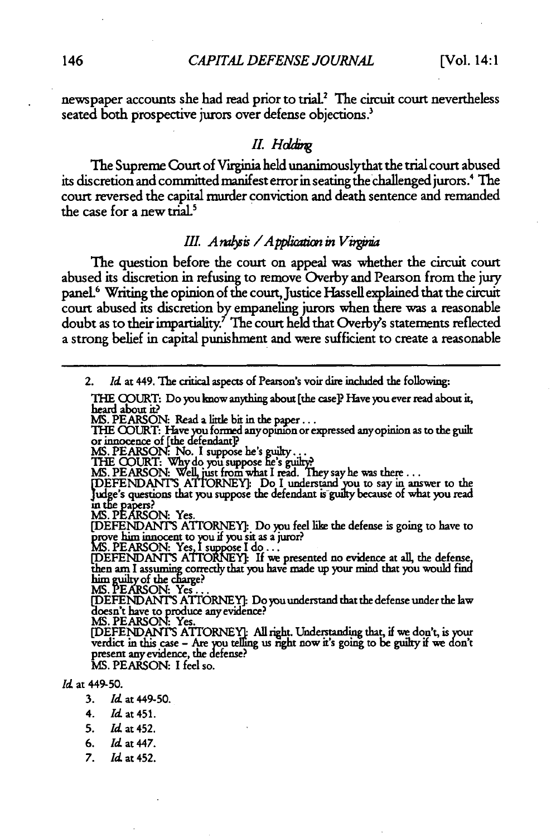newspaper accounts she had read prior to trial.<sup>2</sup> The circuit court nevertheless seated both prospective jurors over defense objections.<sup>3</sup>

#### *II. Holding*

The Supreme Court of Virginia held unanimouslythat the trial court abused its discretion and committed manifest error in seating the challenged jurors.4 The court reversed the capital murder conviction and death sentence and remanded the case for a new trial.<sup>5</sup>

#### *III. A ralysis* / *A pplication in V irginia*

The question before the court on appeal was whether the circuit court abused its discretion in refusing to remove Overby and Pearson from the jury panel 6 Writing the opinion of the court, Justice Hassell explained that the circuit court abused its discretion by empaneling jurors when there was a reasonable doubt as to their impartiality.' The court held that Overby's statements reflected a strong belief in capital punishment and were sufficient to create a reasonable

2. *Id* at 449. The critical aspects of Pearson's voir dire included the following:

THE (OURT: Do you know anything about (the case]) Have you ever read about **it,** heard about it?

MS. PEARSON: Read a little bit in the paper . . .<br>THE COURT: Have you formed any opinion or expressed any opinion as to the guilt or innocence of [the defendant]?<br>MS. PEARSON: No. I suppose he's guilty

THE COURT: Why do you suppose he's guilty?<br>MS. PEARSON: Well, just from what I read. They say he was there . . .<br>[DEFENDANT'S ATTORNEY]: Do I understand you to say in answer to the<br>[udge's questions that you suppose the de

**MS. PEARSON: Yes.** 

[DEFENDANT'S ATrORNEY]: Do you feel like the defense is going to have to prove him innocent to you if you sit as a juror?<br> **MS. PEARSON:** Yes, I suppose I do...<br> **[DEFENDANITS ATTORVEY**]: If we presented no evidence at all, the defense,

then am I assuming correctly that you have made up your mind that you would find<br>him guilty of the charge?<br>MS. PEARSON: Yes . . .

**[DEFENDANTS** ATrORNEY1 Do **you** understand that the defense under the law doesn't have to produce any evidence?

**MS. PEARSON:** Yes.

[DEFENDANT'S ATTORNEY]: All right. Understanding that, if we don't, is your verdict in this case – Are you telling us right now it's going to be guilty if we don't<br>present any evidence, the defense?<br>MS. PEARSON: I feel so.

*Id* at 449-50.

- **3.** *Id* at 449-50.
- 4. *Id* at 451.
- **5.** *Id* at 452.
- *6. 1d* at447.
- *7. Id* at 452.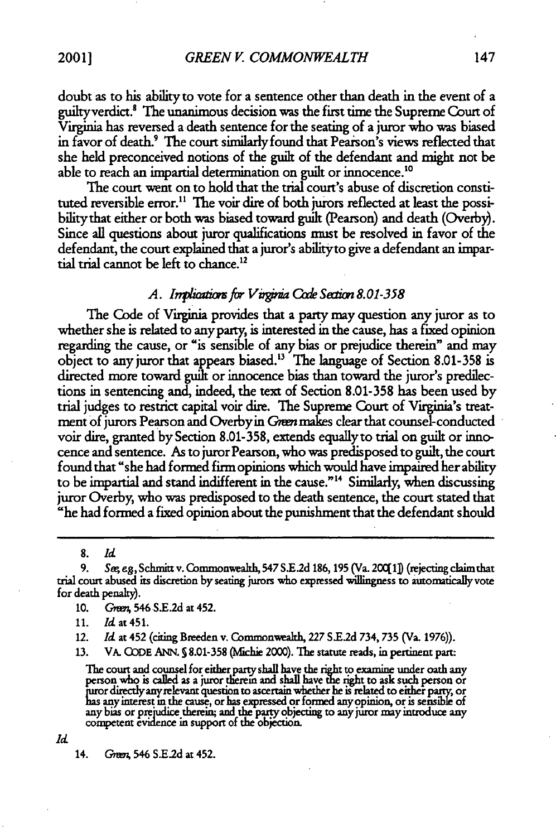doubt as to his ability to vote for a sentence other than death in the event of a guilty verdict.<sup>8</sup> The unanimous decision was the first time the Supreme Court of Virginia has reversed a death sentence for the seating of a juror who was biased in favor of death.<sup>9</sup> The court similarly found that Pearson's views reflected that she held preconceived notions of the guilt of the defendant and might not be able to reach an impartial determination on guilt or innocence."0

The court went on to hold that the trial court's abuse of discretion constituted reversible error.<sup>11</sup> The voir dire of both jurors reflected at least the possibility that either or both was biased toward guilt (Pearson) and death (Overby). Since all questions about juror qualifications must be resolved in favor of the defendant, the court explained that a juror's abilityto give a defendant an impartial trial cannot be left to chance.<sup>12</sup>

#### *A. In rf/r Vui,\* Code Swi,8.o1-358*

The Code of Virginia provides that a party may question any juror as to whether she is related to any party, is interested in the cause, has a fixed opinion regarding the cause, or "is sensible of any bias or prejudice therein" and may object to any juror that appears biased. 3 The language of Section 8.01-358 is directed more toward guilt or innocence bias than toward the juror's predilections in sentencing and, indeed, the text of Section 8.01-358 has been used by trial judges to restrict capital voir dire. The Supreme Court of Virginia's treatment of jurors Pearson and Overby in *Green* makes clear that counsel-conducted voir dire, granted by Section 8.01-358, extends equally to trial on guilt or innocence and sentence. As to juror Pearson, who was predisposed to guilt, the court found that "she had formed firm opinions which would have impaired her ability to be impartial and stand indifferent in the cause." 4 Similarly, when discussing juror Overby, who was predisposed to the death sentence, the court stated that "he had formed a fixed opinion about the punishment that the defendant should

**8.** *Id*

**9.** Sageg,Schmittv.Commowealth,547SE.d 186,195 (Va.200[1 (rejectingclaimthat trial court abused its discretion by seating jurors who expressed willingness to automatically vote for death penalty).

**10. Gw;** 546 S.E.2d at 452.

**11.** *Id* at 451.

12. *Id* at 452 (citing Breeden v. Commonwealth, **227** S.E.2d 734, **735** (Va. **1976)).**

**13.** VA. **GODE** ANN. **§** 8.01-358 (Mlfchie 2000). The statute reads, in pertinent part:

The court and counsel for either party shall have the **right** to examine under oath any person who is called as a juror therem and shall have **e** right to ask such person or ruror direcyanyrelevant question to ascertain whether he *ii* related to either **pary,** or has **any** interest **in** the cause, or has expressed or formed **any** pinion, **or** is sensible of any bias or prejudice therein; and the party objecting to any juror may introduce any competent evidence in support of the objectic

*Id*

14. Green, 546 S.E.2d at 452.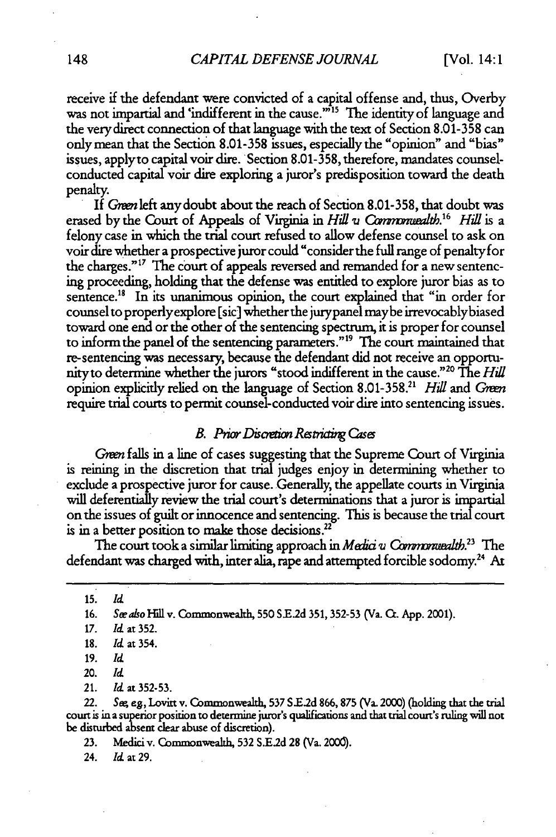receive if the defendant were convicted of a capital offense and, thus, Overby was not impartial and 'indifferent in the cause."<sup>15</sup> The identity of language and the very direct connection of that language with the text of Section 8.01-358 can only mean that the Section 8.01-358 issues, especially the "opinion" and "bias" issues, applyto capital voir dire. Section 8.01-358, therefore, mandates counselconducted capital voir dire exploring a juror's predisposition toward the death penalty.<br>If *Green* left any doubt about the reach of Section 8.01-358, that doubt was

erased by the Court of Appeals of Virginia in *Hill v Commonwealth*.<sup>16</sup> Hill is a felony case in which the trial court refused to allow defense counsel to ask on voir dire whether a prospective juror could "consider the full range of penalty for the charges."<sup>17</sup> The court of appeals reversed and remanded for a new sentencing proceeding, holding that the defense was entitled to explore juror bias as to sentence.<sup>18</sup> In its unanimous opinion, the court explained that "in order for counsel to properlyexplore [sic] whether the jurypanel maybe irrevocablybiased toward one end or the other of the sentencing spectrum, it is proper for counsel to inform the panel of the sentencing parameters."" The court maintained that re-sentencing was necessary, because the defendant did not receive an opportunityto determine whether the jurors "stood indifferent in the cause."20 The *Hill* opinion explicitly relied on the language of Section 8.01-358.<sup>21</sup> *Hill* and *Green* require trial courts to permit counsel-conducted voir dire into sentencing issues.

#### *B. Prior Discretion Restricting Cases*

*Green* falls in a line of cases suggesting that the Supreme Court of Virginia is reining in the discretion that trial judges enjoy in determining whether to exclude a prospective juror for cause. Generally, the appellate courts in Virginia will deferentially review the trial court's determinations that a juror is impartial on the issues of guilt or innocence and sentencing. This is because the trial court is in a better position to make those decisions.<sup>22</sup>

The court took a similar limiting approach in *Medici v Commonwealth*.<sup>23</sup> The defendant was charged with, inter alia, rape and attempted forcible sodomy.<sup>24</sup> At

**15.** *Ict*

16. See also *Hill v. Commonwealth*, 550 S.E.2d 351, 352-53 (Va. Ct. App. 2001).

**18.** *Id* at 354.

20. *Id*

21. *Id* at 352-53.

22. Sw *eg,* Lovitt v. Commonwealth, **537 S.E.2d 866,875** (Va. 2000) (holding that the trial court is in a superior position to determine juror's qualifications and that trial court's ruling will not be disturbed absent clear abuse of discretion).

**23.** Medici v. Commonwealth, **532 S.E.2d** 28 (Va. 2000).

24. Id at 29.

*<sup>17.</sup>* **Id** at 352.

<sup>19.</sup> *Id*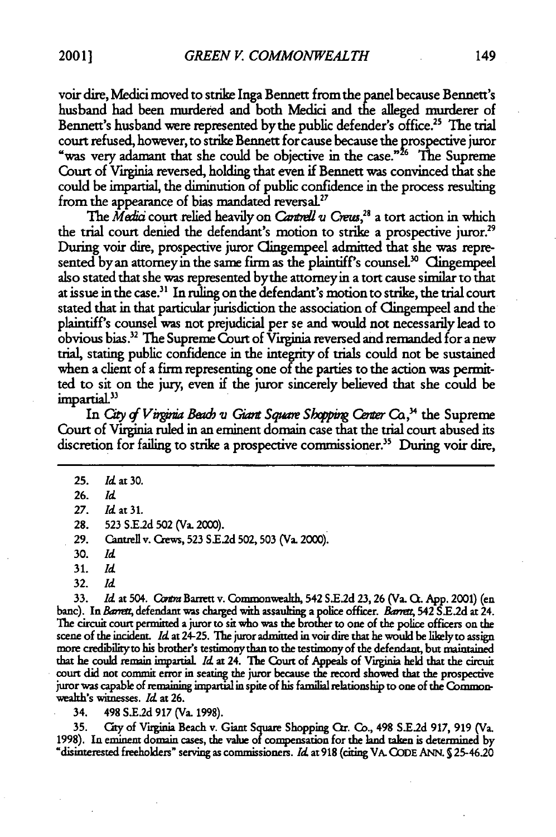voir dire, Medici moved to strike Inga Bennett from the panel because Bennett's husband had been murdered and both Medici and the alleged murderer of Bennett's husband were represented by the public defender's office.<sup>25</sup> The trial court refused, however, to strike Bennett for cause because the prospective juror "was very adamant that she could be objective in the case."<sup>26</sup> The Supreme Court of Virginia reversed, holding that even if Bennett was convinced that she could be impartial, the diminution of public confidence in the process resulting from the appearance of bias mandated reversal.<sup>27</sup>

The Media court relied heavily on *Cantrell v Creus*,<sup>28</sup> a tort action in which the trial court denied the defendant's motion to strike a prospective juror.<sup>29</sup> During voir dire, prospective juror Clingempeel admitted that she was represented by an attorney in the same firm as the plaintiff's counsel.<sup>30</sup> Clingempeel also stated that she was represented bythe attorneyin a tort cause similar to that at issue in the case.<sup>31</sup> In ruling on the defendant's motion to strike, the trial court stated that in that particular jurisdiction the association of Clingempeel and the plaintiff's counsel was not prejudicial per se and would not necessarily lead to obvious bias.32 The Supreme Court of Virginia reversed and remanded for a new trial, stating public confidence in the **integrity of** trials could not be sustained when a client of a firm representing one **of** the parties to the action was permitted to sit on the jury, even if the juror sincerely believed that she could be impartial.<sup>33</sup>

In *City of Virginia Beach v Giant Square Shopping Center Co.*<sup>34</sup> the Supreme Court of Virginia ruled in an eminent domain case that the trial court abused its discretion for failing to strike a prospective commissioner.3 During voir **dire,**

- **27.** *Id at* **31.**
- **28. 523 S.E.2d 502** (Va. 2000).
- **29.** Cantrell v. Crews, **523** S **E2 d** 502, **503** (Va. 2000).
- 30. *Id*
- **31.** *Id*
- 32. *Id*

**33.** *Id* at 504. Cam **Barrett** v. Commonwealh, 542 **S.E2d** 23,26 (Va. **Q.** App. 2001) (en banc). In Barrett, defendant was charged with assaulting a police officer. Barrett, 542 S.E.2d at 24. **The** circuit court permitted a juror to sit who was the brother to one of the police officers on the scene of the incident. *Id* at 24-25. **The** juror admitted in voir dire that he would be likelyto assign more credibility to his brother's testimony than to the testimony of the defendant, but maintained that he could remain impartial *Id* at 24. The Court of Appeals of Virginia held that the circuit court did not commit error in seating the juror because the record showed that the prospective juror was capable of remaining impartial in spite of his familial relationship to one of the Commonwealh's witnesses. *Id* at **26.**

34. 498 *S.E2d* **917** (Va. **1998).**

**35.** Cty of Virginia Beach v. **Giant Square** Shopping Cr. **Co.,** 498 *S.E2d* **917, 919** (Va. **1998).** In eminent domain cases, the **value of** compensation for the land taken is determined by "disinterested freeholders" serving as commissioners. *Id* **at 918** (citing VA. **CODE ANN. 5** 25-4620

**<sup>25.</sup> Id** at **30.**

**<sup>26.</sup>** *Id*